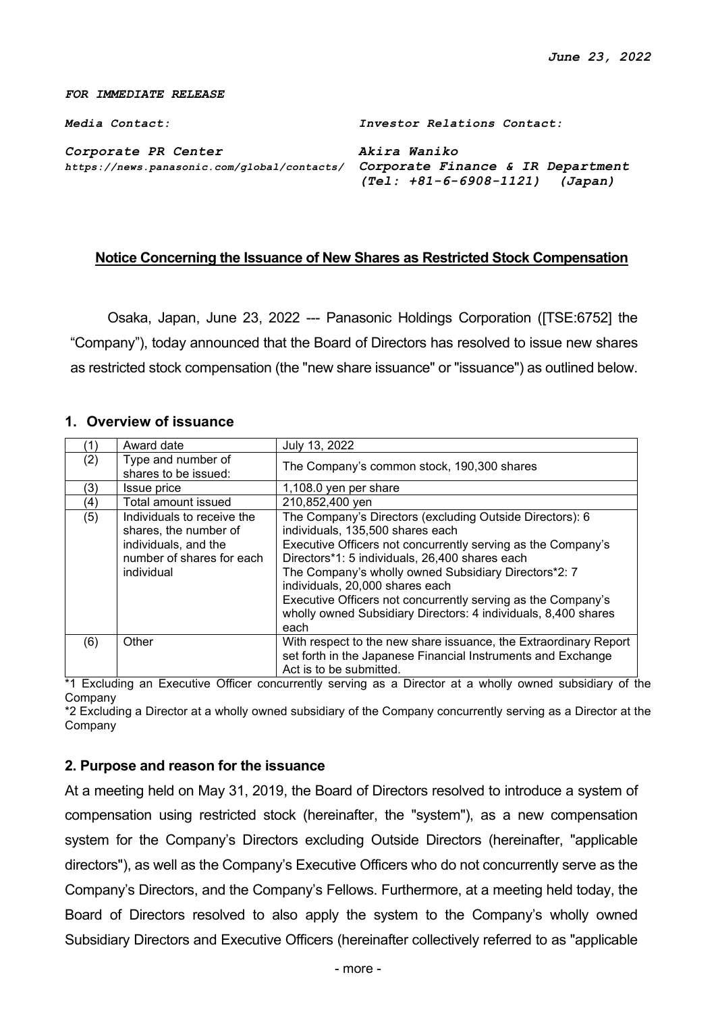#### *FOR IMMEDIATE RELEASE*

*Media Contact: Investor Relations Contact:*

*Corporate PR Center Akira Waniko https://news.panasonic.com/global/contacts/ Corporate Finance & IR Department*

*(Tel: +81-6-6908-1121) (Japan)*

### **Notice Concerning the Issuance of New Shares as Restricted Stock Compensation**

Osaka, Japan, June 23, 2022 --- Panasonic Holdings Corporation ([TSE:6752] the "Company"), today announced that the Board of Directors has resolved to issue new shares as restricted stock compensation (the "new share issuance" or "issuance") as outlined below.

#### **1. Overview of issuance**

|     | Award date                                                                                                             | July 13, 2022                                                                                                                                                                                                                                                                                                                                                                                                                                       |
|-----|------------------------------------------------------------------------------------------------------------------------|-----------------------------------------------------------------------------------------------------------------------------------------------------------------------------------------------------------------------------------------------------------------------------------------------------------------------------------------------------------------------------------------------------------------------------------------------------|
| (2) | Type and number of<br>shares to be issued:                                                                             | The Company's common stock, 190,300 shares                                                                                                                                                                                                                                                                                                                                                                                                          |
| (3) | Issue price                                                                                                            | 1,108.0 yen per share                                                                                                                                                                                                                                                                                                                                                                                                                               |
| (4) | Total amount issued                                                                                                    | 210,852,400 yen                                                                                                                                                                                                                                                                                                                                                                                                                                     |
| (5) | Individuals to receive the<br>shares, the number of<br>individuals, and the<br>number of shares for each<br>individual | The Company's Directors (excluding Outside Directors): 6<br>individuals, 135,500 shares each<br>Executive Officers not concurrently serving as the Company's<br>Directors*1: 5 individuals, 26,400 shares each<br>The Company's wholly owned Subsidiary Directors*2: 7<br>individuals, 20,000 shares each<br>Executive Officers not concurrently serving as the Company's<br>wholly owned Subsidiary Directors: 4 individuals, 8,400 shares<br>each |
| (6) | Other                                                                                                                  | With respect to the new share issuance, the Extraordinary Report<br>set forth in the Japanese Financial Instruments and Exchange<br>Act is to be submitted.                                                                                                                                                                                                                                                                                         |

\*1 Excluding an Executive Officer concurrently serving as a Director at a wholly owned subsidiary of the Company

\*2 Excluding a Director at a wholly owned subsidiary of the Company concurrently serving as a Director at the Company

#### **2. Purpose and reason for the issuance**

At a meeting held on May 31, 2019, the Board of Directors resolved to introduce a system of compensation using restricted stock (hereinafter, the "system"), as a new compensation system for the Company's Directors excluding Outside Directors (hereinafter, "applicable directors"), as well as the Company's Executive Officers who do not concurrently serve as the Company's Directors, and the Company's Fellows. Furthermore, at a meeting held today, the Board of Directors resolved to also apply the system to the Company's wholly owned Subsidiary Directors and Executive Officers (hereinafter collectively referred to as "applicable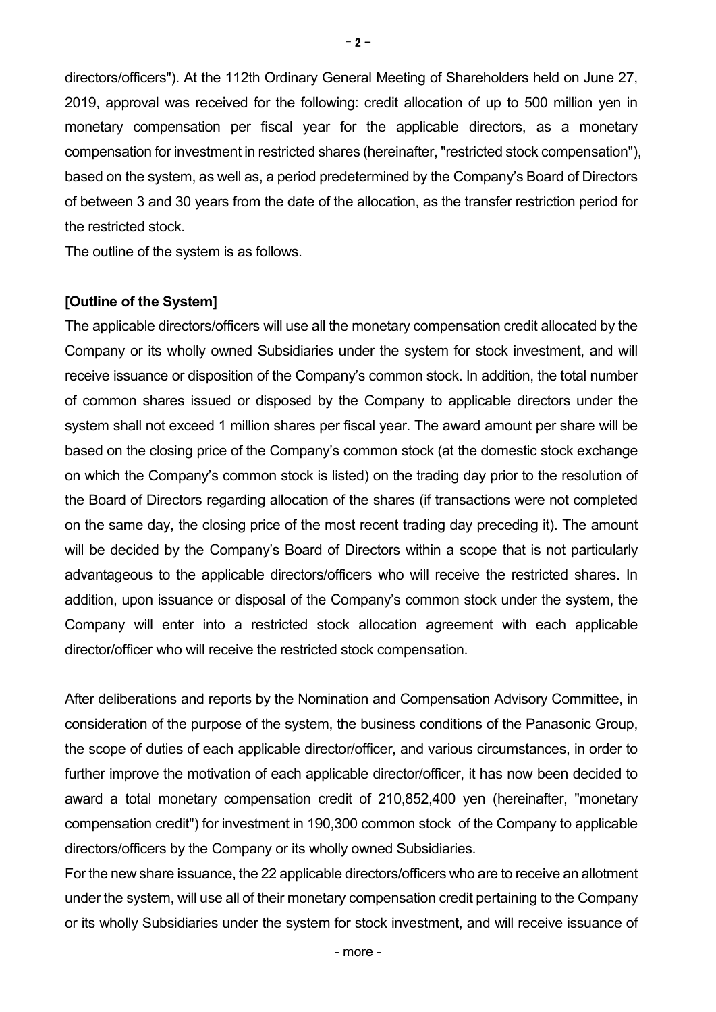directors/officers"). At the 112th Ordinary General Meeting of Shareholders held on June 27, 2019, approval was received for the following: credit allocation of up to 500 million yen in monetary compensation per fiscal year for the applicable directors, as a monetary compensation for investment in restricted shares (hereinafter, "restricted stock compensation"), based on the system, as well as, a period predetermined by the Company's Board of Directors of between 3 and 30 years from the date of the allocation, as the transfer restriction period for the restricted stock.

The outline of the system is as follows.

#### **[Outline of the System]**

The applicable directors/officers will use all the monetary compensation credit allocated by the Company or its wholly owned Subsidiaries under the system for stock investment, and will receive issuance or disposition of the Company's common stock. In addition, the total number of common shares issued or disposed by the Company to applicable directors under the system shall not exceed 1 million shares per fiscal year. The award amount per share will be based on the closing price of the Company's common stock (at the domestic stock exchange on which the Company's common stock is listed) on the trading day prior to the resolution of the Board of Directors regarding allocation of the shares (if transactions were not completed on the same day, the closing price of the most recent trading day preceding it). The amount will be decided by the Company's Board of Directors within a scope that is not particularly advantageous to the applicable directors/officers who will receive the restricted shares. In addition, upon issuance or disposal of the Company's common stock under the system, the Company will enter into a restricted stock allocation agreement with each applicable director/officer who will receive the restricted stock compensation.

After deliberations and reports by the Nomination and Compensation Advisory Committee, in consideration of the purpose of the system, the business conditions of the Panasonic Group, the scope of duties of each applicable director/officer, and various circumstances, in order to further improve the motivation of each applicable director/officer, it has now been decided to award a total monetary compensation credit of 210,852,400 yen (hereinafter, "monetary compensation credit") for investment in 190,300 common stock of the Company to applicable directors/officers by the Company or its wholly owned Subsidiaries.

For the new share issuance, the 22 applicable directors/officers who are to receive an allotment under the system, will use all of their monetary compensation credit pertaining to the Company or its wholly Subsidiaries under the system for stock investment, and will receive issuance of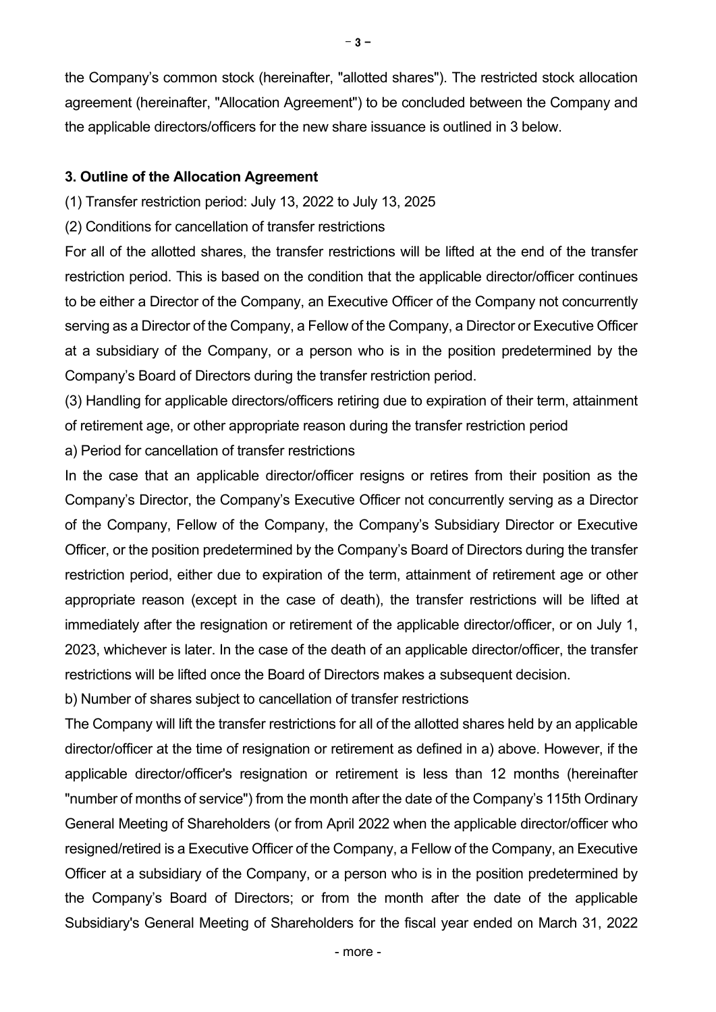the Company's common stock (hereinafter, "allotted shares"). The restricted stock allocation agreement (hereinafter, "Allocation Agreement") to be concluded between the Company and the applicable directors/officers for the new share issuance is outlined in 3 below.

## **3. Outline of the Allocation Agreement**

- (1) Transfer restriction period: July 13, 2022 to July 13, 2025
- (2) Conditions for cancellation of transfer restrictions

For all of the allotted shares, the transfer restrictions will be lifted at the end of the transfer restriction period. This is based on the condition that the applicable director/officer continues to be either a Director of the Company, an Executive Officer of the Company not concurrently serving as a Director of the Company, a Fellow of the Company, a Director or Executive Officer at a subsidiary of the Company, or a person who is in the position predetermined by the Company's Board of Directors during the transfer restriction period.

(3) Handling for applicable directors/officers retiring due to expiration of their term, attainment of retirement age, or other appropriate reason during the transfer restriction period

a) Period for cancellation of transfer restrictions

In the case that an applicable director/officer resigns or retires from their position as the Company's Director, the Company's Executive Officer not concurrently serving as a Director of the Company, Fellow of the Company, the Company's Subsidiary Director or Executive Officer, or the position predetermined by the Company's Board of Directors during the transfer restriction period, either due to expiration of the term, attainment of retirement age or other appropriate reason (except in the case of death), the transfer restrictions will be lifted at immediately after the resignation or retirement of the applicable director/officer, or on July 1, 2023, whichever is later. In the case of the death of an applicable director/officer, the transfer restrictions will be lifted once the Board of Directors makes a subsequent decision.

b) Number of shares subject to cancellation of transfer restrictions

The Company will lift the transfer restrictions for all of the allotted shares held by an applicable director/officer at the time of resignation or retirement as defined in a) above. However, if the applicable director/officer's resignation or retirement is less than 12 months (hereinafter "number of months of service") from the month after the date of the Company's 115th Ordinary General Meeting of Shareholders (or from April 2022 when the applicable director/officer who resigned/retired is a Executive Officer of the Company, a Fellow of the Company, an Executive Officer at a subsidiary of the Company, or a person who is in the position predetermined by the Company's Board of Directors; or from the month after the date of the applicable Subsidiary's General Meeting of Shareholders for the fiscal year ended on March 31, 2022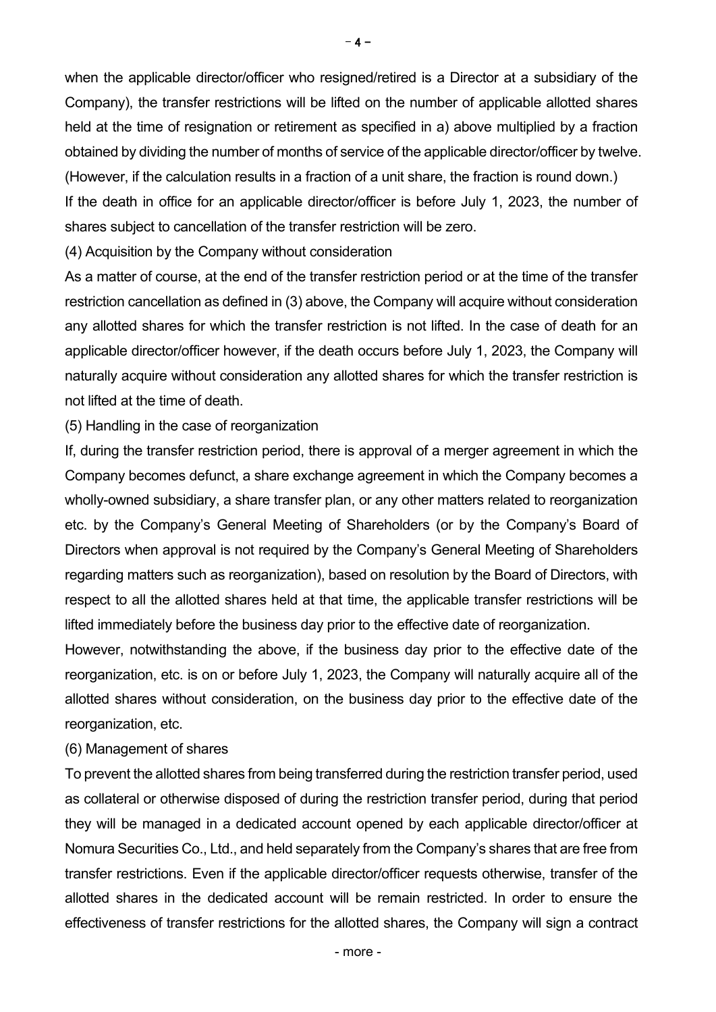when the applicable director/officer who resigned/retired is a Director at a subsidiary of the Company), the transfer restrictions will be lifted on the number of applicable allotted shares held at the time of resignation or retirement as specified in a) above multiplied by a fraction obtained by dividing the number of months of service of the applicable director/officer by twelve.

(However, if the calculation results in a fraction of a unit share, the fraction is round down.) If the death in office for an applicable director/officer is before July 1, 2023, the number of shares subject to cancellation of the transfer restriction will be zero.

(4) Acquisition by the Company without consideration

As a matter of course, at the end of the transfer restriction period or at the time of the transfer restriction cancellation as defined in (3) above, the Company will acquire without consideration any allotted shares for which the transfer restriction is not lifted. In the case of death for an applicable director/officer however, if the death occurs before July 1, 2023, the Company will naturally acquire without consideration any allotted shares for which the transfer restriction is not lifted at the time of death.

(5) Handling in the case of reorganization

If, during the transfer restriction period, there is approval of a merger agreement in which the Company becomes defunct, a share exchange agreement in which the Company becomes a wholly-owned subsidiary, a share transfer plan, or any other matters related to reorganization etc. by the Company's General Meeting of Shareholders (or by the Company's Board of Directors when approval is not required by the Company's General Meeting of Shareholders regarding matters such as reorganization), based on resolution by the Board of Directors, with respect to all the allotted shares held at that time, the applicable transfer restrictions will be lifted immediately before the business day prior to the effective date of reorganization.

However, notwithstanding the above, if the business day prior to the effective date of the reorganization, etc. is on or before July 1, 2023, the Company will naturally acquire all of the allotted shares without consideration, on the business day prior to the effective date of the reorganization, etc.

## (6) Management of shares

To prevent the allotted shares from being transferred during the restriction transfer period, used as collateral or otherwise disposed of during the restriction transfer period, during that period they will be managed in a dedicated account opened by each applicable director/officer at Nomura Securities Co., Ltd., and held separately from the Company's shares that are free from transfer restrictions. Even if the applicable director/officer requests otherwise, transfer of the allotted shares in the dedicated account will be remain restricted. In order to ensure the effectiveness of transfer restrictions for the allotted shares, the Company will sign a contract